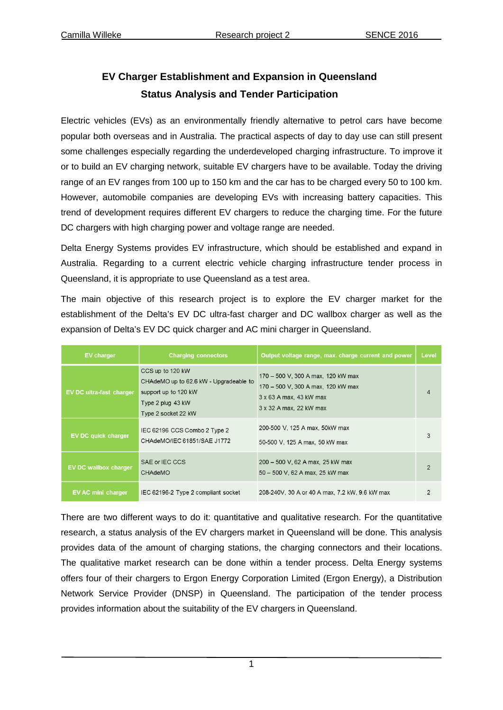## **EV Charger Establishment and Expansion in Queensland Status Analysis and Tender Participation**

Electric vehicles (EVs) as an environmentally friendly alternative to petrol cars have become popular both overseas and in Australia. The practical aspects of day to day use can still present some challenges especially regarding the underdeveloped charging infrastructure. To improve it or to build an EV charging network, suitable EV chargers have to be available. Today the driving range of an EV ranges from 100 up to 150 km and the car has to be charged every 50 to 100 km. However, automobile companies are developing EVs with increasing battery capacities. This trend of development requires different EV chargers to reduce the charging time. For the future DC chargers with high charging power and voltage range are needed.

Delta Energy Systems provides EV infrastructure, which should be established and expand in Australia. Regarding to a current electric vehicle charging infrastructure tender process in Queensland, it is appropriate to use Queensland as a test area.

The main objective of this research project is to explore the EV charger market for the establishment of the Delta's EV DC ultra-fast charger and DC wallbox charger as well as the expansion of Delta's EV DC quick charger and AC mini charger in Queensland.

| <b>EV</b> charger            | <b>Charging connectors</b>                                                                                                     | Output voltage range, max. charge current and power                                                                            | Level          |
|------------------------------|--------------------------------------------------------------------------------------------------------------------------------|--------------------------------------------------------------------------------------------------------------------------------|----------------|
| EV DC ultra-fast charger     | CCS up to 120 kW<br>CHAdeMO up to 62.6 kW - Upgradeable to<br>support up to 120 kW<br>Type 2 plug 43 kW<br>Type 2 socket 22 kW | 170 - 500 V, 300 A max, 120 kW max<br>170 - 500 V, 300 A max, 120 kW max<br>3 x 63 A max, 43 kW max<br>3 x 32 A max, 22 kW max | $\overline{4}$ |
| EV DC quick charger          | IEC 62196 CCS Combo 2 Type 2<br>CHAdeMO/IEC 61851/SAE J1772                                                                    | 200-500 V, 125 A max, 50kW max<br>50-500 V, 125 A max, 50 kW max                                                               | 3              |
| <b>EV DC wallbox charger</b> | SAE or IEC CCS<br><b>CHAdeMO</b>                                                                                               | 200 - 500 V, 62 A max, 25 kW max<br>50 - 500 V, 62 A max, 25 kW max                                                            | $\mathcal{P}$  |
| <b>EV AC mini charger</b>    | IEC 62196-2 Type 2 compliant socket                                                                                            | 208-240V, 30 A or 40 A max, 7.2 kW, 9.6 kW max                                                                                 | $\overline{2}$ |

There are two different ways to do it: quantitative and qualitative research. For the quantitative research, a status analysis of the EV chargers market in Queensland will be done. This analysis provides data of the amount of charging stations, the charging connectors and their locations. The qualitative market research can be done within a tender process. Delta Energy systems offers four of their chargers to Ergon Energy Corporation Limited (Ergon Energy), a Distribution Network Service Provider (DNSP) in Queensland. The participation of the tender process provides information about the suitability of the EV chargers in Queensland.

1